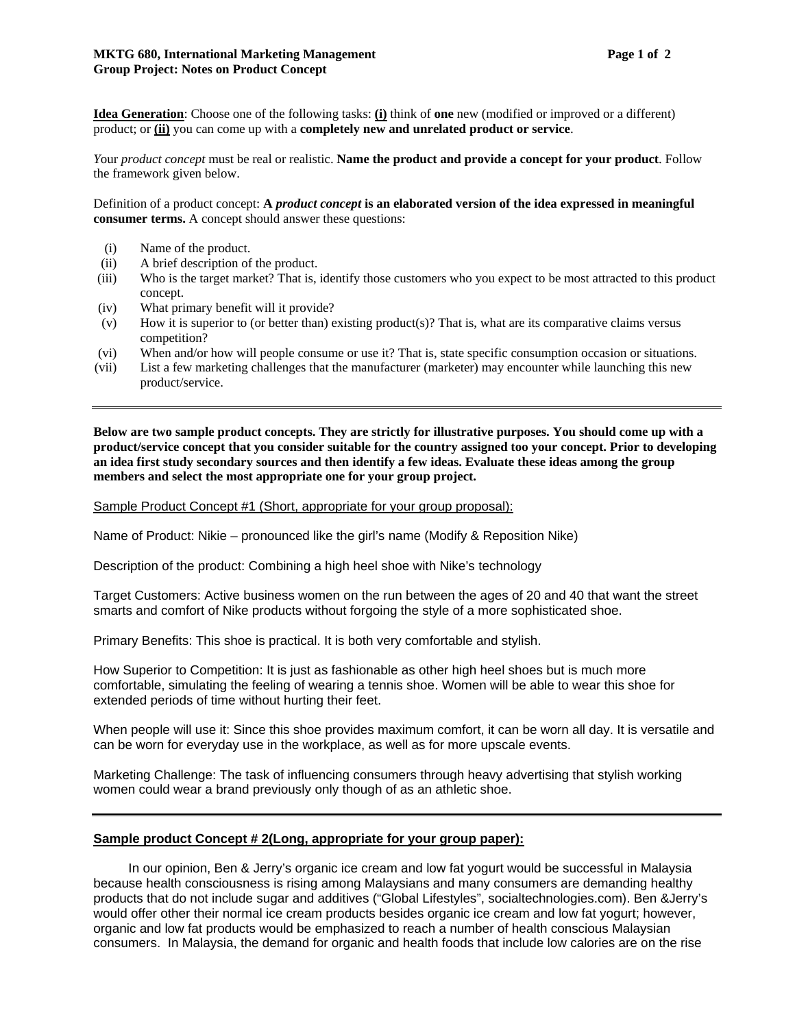**Idea Generation**: Choose one of the following tasks: **(i)** think of **one** new (modified or improved or a different) product; or **(ii)** you can come up with a **completely new and unrelated product or service**.

*Y*our *product concept* must be real or realistic. **Name the product and provide a concept for your product**. Follow the framework given below.

Definition of a product concept: **A** *product concept* **is an elaborated version of the idea expressed in meaningful consumer terms.** A concept should answer these questions:

- (i) Name of the product.
- (ii) A brief description of the product.
- (iii) Who is the target market? That is, identify those customers who you expect to be most attracted to this product concept.
- (iv) What primary benefit will it provide?
- (v) How it is superior to (or better than) existing product(s)? That is, what are its comparative claims versus competition?
- (vi) When and/or how will people consume or use it? That is, state specific consumption occasion or situations.
- (vii) List a few marketing challenges that the manufacturer (marketer) may encounter while launching this new product/service.

**Below are two sample product concepts. They are strictly for illustrative purposes. You should come up with a product/service concept that you consider suitable for the country assigned too your concept. Prior to developing an idea first study secondary sources and then identify a few ideas. Evaluate these ideas among the group members and select the most appropriate one for your group project.** 

Sample Product Concept #1 (Short, appropriate for your group proposal):

Name of Product: Nikie – pronounced like the girl's name (Modify & Reposition Nike)

Description of the product: Combining a high heel shoe with Nike's technology

Target Customers: Active business women on the run between the ages of 20 and 40 that want the street smarts and comfort of Nike products without forgoing the style of a more sophisticated shoe.

Primary Benefits: This shoe is practical. It is both very comfortable and stylish.

How Superior to Competition: It is just as fashionable as other high heel shoes but is much more comfortable, simulating the feeling of wearing a tennis shoe. Women will be able to wear this shoe for extended periods of time without hurting their feet.

When people will use it: Since this shoe provides maximum comfort, it can be worn all day. It is versatile and can be worn for everyday use in the workplace, as well as for more upscale events.

Marketing Challenge: The task of influencing consumers through heavy advertising that stylish working women could wear a brand previously only though of as an athletic shoe.

## **Sample product Concept # 2(Long, appropriate for your group paper):**

In our opinion, Ben & Jerry's organic ice cream and low fat yogurt would be successful in Malaysia because health consciousness is rising among Malaysians and many consumers are demanding healthy products that do not include sugar and additives ("Global Lifestyles", socialtechnologies.com). Ben &Jerry's would offer other their normal ice cream products besides organic ice cream and low fat yogurt; however, organic and low fat products would be emphasized to reach a number of health conscious Malaysian consumers. In Malaysia, the demand for organic and health foods that include low calories are on the rise